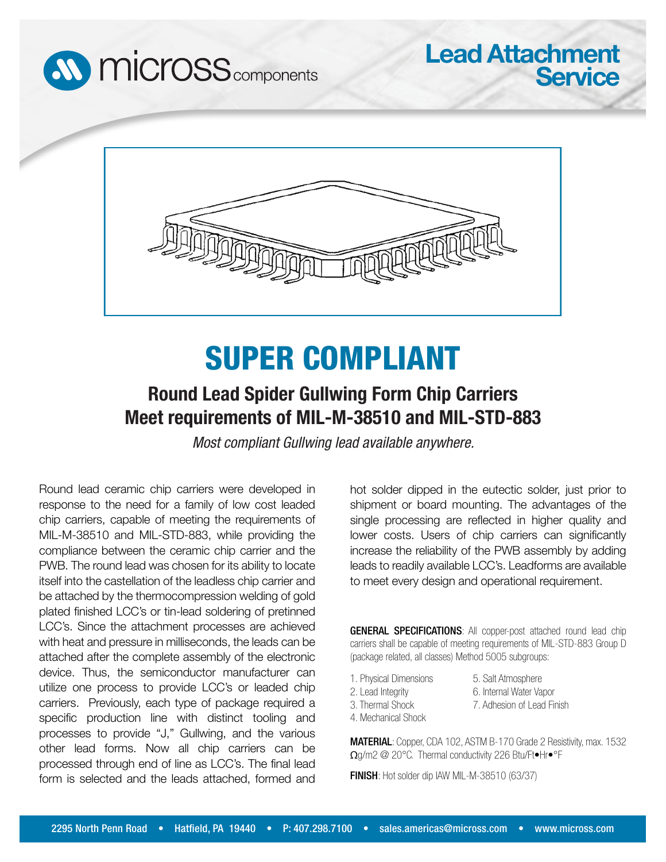



## SUPER COMPLIANT

## **Round Lead Spider Gullwing Form Chip Carriers Meet requirements of MIL-M-38510 and MIL-STD-883**

*Most compliant Gullwing lead available anywhere.*

Round lead ceramic chip carriers were developed in response to the need for a family of low cost leaded chip carriers, capable of meeting the requirements of MIL-M-38510 and MIL-STD-883, while providing the compliance between the ceramic chip carrier and the PWB. The round lead was chosen for its ability to locate itself into the castellation of the leadless chip carrier and be attached by the thermocompression welding of gold plated finished LCC's or tin-lead soldering of pretinned LCC's. Since the attachment processes are achieved with heat and pressure in milliseconds, the leads can be attached after the complete assembly of the electronic device. Thus, the semiconductor manufacturer can utilize one process to provide LCC's or leaded chip carriers. Previously, each type of package required a specific production line with distinct tooling and processes to provide "J," Gullwing, and the various other lead forms. Now all chip carriers can be processed through end of line as LCC's. The final lead form is selected and the leads attached, formed and

hot solder dipped in the eutectic solder, just prior to shipment or board mounting. The advantages of the single processing are reflected in higher quality and lower costs. Users of chip carriers can significantly increase the reliability of the PWB assembly by adding leads to readily available LCC's. Leadforms are available to meet every design and operational requirement.

**Lead Attachment**

**Service**

GENERAL SPECIFICATIONS: All copper-post attached round lead chip carriers shall be capable of meeting requirements of MIL-STD-883 Group D (package related, all classes) Method 5005 subgroups:

1. Physical Dimensions 2. Lead Integrity

5. Salt Atmosphere 6. Internal Water Vapor

- 3. Thermal Shock
- 4. Mechanical Shock

MATERIAL: Copper, CDA 102, ASTM B-170 Grade 2 Resistivity, max. 1532 Ωg/m2 @ 20°C. Thermal conductivity 226 Btu/Ft•Hr•°F

7. Adhesion of Lead Finish

FINISH: Hot solder dip IAW MIL-M-38510 (63/37)